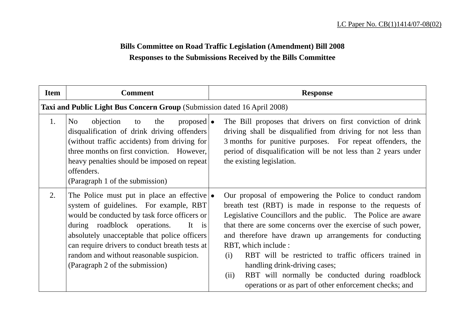## **Bills Committee on Road Traffic Legislation (Amendment) Bill 2008 Responses to the Submissions Received by the Bills Committee**

| <b>Item</b> | <b>Comment</b>                                                                                                                                                                                                                                                                                                                                                          | <b>Response</b>                                                                                                                                                                                                                                                                                                                                                                                                                                                                                                                                               |
|-------------|-------------------------------------------------------------------------------------------------------------------------------------------------------------------------------------------------------------------------------------------------------------------------------------------------------------------------------------------------------------------------|---------------------------------------------------------------------------------------------------------------------------------------------------------------------------------------------------------------------------------------------------------------------------------------------------------------------------------------------------------------------------------------------------------------------------------------------------------------------------------------------------------------------------------------------------------------|
|             | Taxi and Public Light Bus Concern Group (Submission dated 16 April 2008)                                                                                                                                                                                                                                                                                                |                                                                                                                                                                                                                                                                                                                                                                                                                                                                                                                                                               |
| 1.          | No<br>objection<br>$\mathsf{proposed}$<br>the<br>to<br>disqualification of drink driving offenders<br>(without traffic accidents) from driving for<br>three months on first conviction. However,<br>heavy penalties should be imposed on repeat<br>offenders.<br>(Paragraph 1 of the submission)                                                                        | The Bill proposes that drivers on first conviction of drink<br>driving shall be disqualified from driving for not less than<br>3 months for punitive purposes. For repeat offenders, the<br>period of disqualification will be not less than 2 years under<br>the existing legislation.                                                                                                                                                                                                                                                                       |
| 2.          | The Police must put in place an effective $\bullet$<br>system of guidelines. For example, RBT<br>would be conducted by task force officers or<br>during roadblock operations.<br>It is<br>absolutely unacceptable that police officers<br>can require drivers to conduct breath tests at<br>random and without reasonable suspicion.<br>(Paragraph 2 of the submission) | Our proposal of empowering the Police to conduct random<br>breath test (RBT) is made in response to the requests of<br>Legislative Councillors and the public. The Police are aware<br>that there are some concerns over the exercise of such power,<br>and therefore have drawn up arrangements for conducting<br>RBT, which include :<br>RBT will be restricted to traffic officers trained in<br>(i)<br>handling drink-driving cases;<br>RBT will normally be conducted during roadblock<br>(ii)<br>operations or as part of other enforcement checks; and |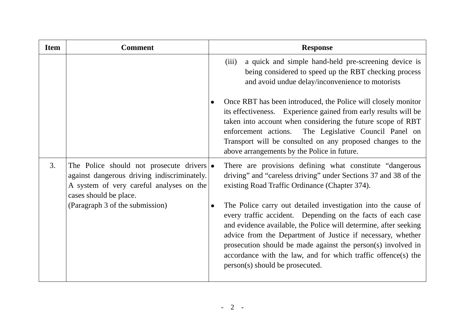| <b>Item</b> | <b>Comment</b>                                                                                                                                                         |           | <b>Response</b>                                                                                                                                                                                                                                                                                                                                                                                                                     |
|-------------|------------------------------------------------------------------------------------------------------------------------------------------------------------------------|-----------|-------------------------------------------------------------------------------------------------------------------------------------------------------------------------------------------------------------------------------------------------------------------------------------------------------------------------------------------------------------------------------------------------------------------------------------|
|             |                                                                                                                                                                        |           | a quick and simple hand-held pre-screening device is<br>(iii)<br>being considered to speed up the RBT checking process<br>and avoid undue delay/inconvenience to motorists                                                                                                                                                                                                                                                          |
|             |                                                                                                                                                                        | $\bullet$ | Once RBT has been introduced, the Police will closely monitor<br>its effectiveness. Experience gained from early results will be<br>taken into account when considering the future scope of RBT<br>enforcement actions.<br>The Legislative Council Panel on<br>Transport will be consulted on any proposed changes to the<br>above arrangements by the Police in future.                                                            |
| 3.          | The Police should not prosecute drivers $\bullet$<br>against dangerous driving indiscriminately.<br>A system of very careful analyses on the<br>cases should be place. |           | There are provisions defining what constitute "dangerous"<br>driving" and "careless driving" under Sections 37 and 38 of the<br>existing Road Traffic Ordinance (Chapter 374).                                                                                                                                                                                                                                                      |
|             | (Paragraph 3 of the submission)                                                                                                                                        |           | The Police carry out detailed investigation into the cause of<br>every traffic accident. Depending on the facts of each case<br>and evidence available, the Police will determine, after seeking<br>advice from the Department of Justice if necessary, whether<br>prosecution should be made against the person(s) involved in<br>accordance with the law, and for which traffic offence(s) the<br>person(s) should be prosecuted. |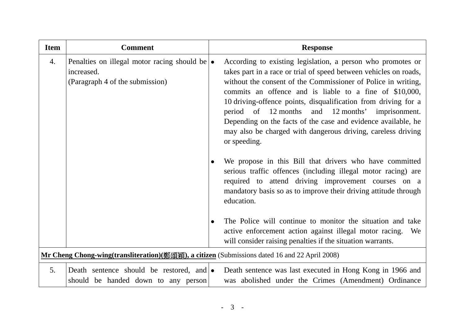| <b>Item</b> | <b>Comment</b>                                                                                         |           | <b>Response</b>                                                                                                                                                                                                                                                                                                                                                                                                                                                                                                                        |
|-------------|--------------------------------------------------------------------------------------------------------|-----------|----------------------------------------------------------------------------------------------------------------------------------------------------------------------------------------------------------------------------------------------------------------------------------------------------------------------------------------------------------------------------------------------------------------------------------------------------------------------------------------------------------------------------------------|
| 4.          | Penalties on illegal motor racing should be $\bullet$<br>increased.<br>(Paragraph 4 of the submission) |           | According to existing legislation, a person who promotes or<br>takes part in a race or trial of speed between vehicles on roads,<br>without the consent of the Commissioner of Police in writing,<br>commits an offence and is liable to a fine of \$10,000,<br>10 driving-offence points, disqualification from driving for a<br>period of<br>12 months and 12 months' imprisonment.<br>Depending on the facts of the case and evidence available, he<br>may also be charged with dangerous driving, careless driving<br>or speeding. |
|             |                                                                                                        | $\bullet$ | We propose in this Bill that drivers who have committed<br>serious traffic offences (including illegal motor racing) are<br>required to attend driving improvement courses on a<br>mandatory basis so as to improve their driving attitude through<br>education.                                                                                                                                                                                                                                                                       |
|             |                                                                                                        | $\bullet$ | The Police will continue to monitor the situation and take<br>active enforcement action against illegal motor racing.<br>We<br>will consider raising penalties if the situation warrants.                                                                                                                                                                                                                                                                                                                                              |
|             | Mr Cheng Chong-wing(transliteration)(鄭頌穎), a citizen (Submissions dated 16 and 22 April 2008)          |           |                                                                                                                                                                                                                                                                                                                                                                                                                                                                                                                                        |
| 5.          | Death sentence should be restored, and $\bullet$<br>should be handed down to any person                |           | Death sentence was last executed in Hong Kong in 1966 and<br>was abolished under the Crimes (Amendment) Ordinance                                                                                                                                                                                                                                                                                                                                                                                                                      |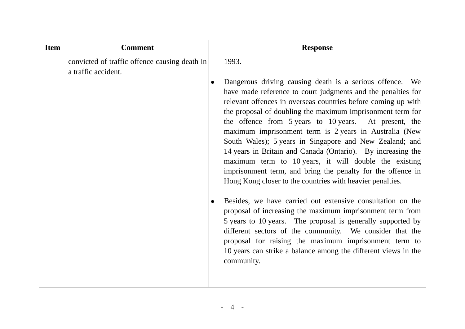| <b>Item</b> | <b>Comment</b>                                                       |           | <b>Response</b>                                                                                                                                                                                                                                                                                                                                                                                                                                                                                                                                                                                                                                                                           |
|-------------|----------------------------------------------------------------------|-----------|-------------------------------------------------------------------------------------------------------------------------------------------------------------------------------------------------------------------------------------------------------------------------------------------------------------------------------------------------------------------------------------------------------------------------------------------------------------------------------------------------------------------------------------------------------------------------------------------------------------------------------------------------------------------------------------------|
|             | convicted of traffic offence causing death in<br>a traffic accident. |           | 1993.                                                                                                                                                                                                                                                                                                                                                                                                                                                                                                                                                                                                                                                                                     |
|             |                                                                      | $\bullet$ | Dangerous driving causing death is a serious offence. We<br>have made reference to court judgments and the penalties for<br>relevant offences in overseas countries before coming up with<br>the proposal of doubling the maximum imprisonment term for<br>the offence from 5 years to 10 years. At present, the<br>maximum imprisonment term is 2 years in Australia (New<br>South Wales); 5 years in Singapore and New Zealand; and<br>14 years in Britain and Canada (Ontario). By increasing the<br>maximum term to 10 years, it will double the existing<br>imprisonment term, and bring the penalty for the offence in<br>Hong Kong closer to the countries with heavier penalties. |
|             |                                                                      | $\bullet$ | Besides, we have carried out extensive consultation on the<br>proposal of increasing the maximum imprisonment term from<br>5 years to 10 years. The proposal is generally supported by<br>different sectors of the community. We consider that the<br>proposal for raising the maximum imprisonment term to<br>10 years can strike a balance among the different views in the<br>community.                                                                                                                                                                                                                                                                                               |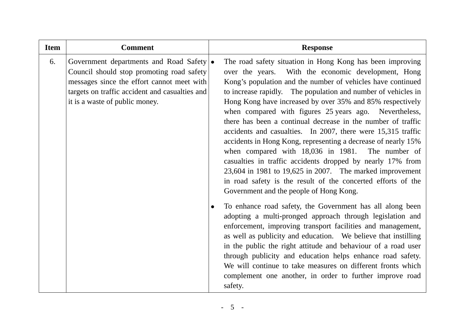| <b>Item</b> | <b>Comment</b>                                                                                                                                                                                                            | <b>Response</b>                                                                                                                                                                                                                                                                                                                                                                                                                                                                                                                                                                                                                                                                                                                                                                                                                                                     |
|-------------|---------------------------------------------------------------------------------------------------------------------------------------------------------------------------------------------------------------------------|---------------------------------------------------------------------------------------------------------------------------------------------------------------------------------------------------------------------------------------------------------------------------------------------------------------------------------------------------------------------------------------------------------------------------------------------------------------------------------------------------------------------------------------------------------------------------------------------------------------------------------------------------------------------------------------------------------------------------------------------------------------------------------------------------------------------------------------------------------------------|
| 6.          | Government departments and Road Safety   •<br>Council should stop promoting road safety<br>messages since the effort cannot meet with<br>targets on traffic accident and casualties and<br>it is a waste of public money. | The road safety situation in Hong Kong has been improving<br>over the years. With the economic development, Hong<br>Kong's population and the number of vehicles have continued<br>to increase rapidly. The population and number of vehicles in<br>Hong Kong have increased by over 35% and 85% respectively<br>when compared with figures 25 years ago. Nevertheless,<br>there has been a continual decrease in the number of traffic<br>accidents and casualties. In 2007, there were 15,315 traffic<br>accidents in Hong Kong, representing a decrease of nearly 15%<br>when compared with 18,036 in 1981. The number of<br>casualties in traffic accidents dropped by nearly 17% from<br>$23,604$ in 1981 to 19,625 in 2007. The marked improvement<br>in road safety is the result of the concerted efforts of the<br>Government and the people of Hong Kong. |
|             |                                                                                                                                                                                                                           | To enhance road safety, the Government has all along been<br>adopting a multi-pronged approach through legislation and<br>enforcement, improving transport facilities and management,<br>as well as publicity and education. We believe that instilling<br>in the public the right attitude and behaviour of a road user<br>through publicity and education helps enhance road safety.<br>We will continue to take measures on different fronts which<br>complement one another, in order to further improve road<br>safety.                                                                                                                                                                                                                                                                                                                                        |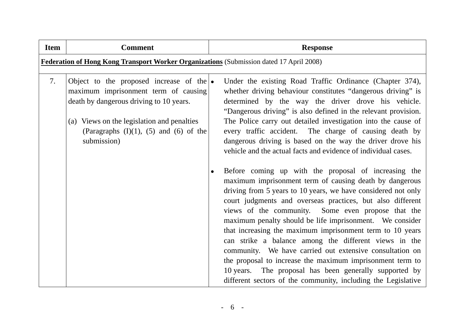| <b>Item</b> | <b>Comment</b>                                                                                                                                                                                                                                    | <b>Response</b>                                                                                                                                                                                                                                                                                                                                                                                                                                                                                                                                                                                                                                                                                                                                                                                                                                                                                                                                                                                                                                                                                                                 |
|-------------|---------------------------------------------------------------------------------------------------------------------------------------------------------------------------------------------------------------------------------------------------|---------------------------------------------------------------------------------------------------------------------------------------------------------------------------------------------------------------------------------------------------------------------------------------------------------------------------------------------------------------------------------------------------------------------------------------------------------------------------------------------------------------------------------------------------------------------------------------------------------------------------------------------------------------------------------------------------------------------------------------------------------------------------------------------------------------------------------------------------------------------------------------------------------------------------------------------------------------------------------------------------------------------------------------------------------------------------------------------------------------------------------|
|             | Federation of Hong Kong Transport Worker Organizations (Submission dated 17 April 2008)                                                                                                                                                           |                                                                                                                                                                                                                                                                                                                                                                                                                                                                                                                                                                                                                                                                                                                                                                                                                                                                                                                                                                                                                                                                                                                                 |
| 7.          | Object to the proposed increase of the $\bullet$<br>maximum imprisonment term of causing<br>death by dangerous driving to 10 years.<br>(a) Views on the legislation and penalties<br>(Paragraphs $(I)(1)$ , $(5)$ and $(6)$ of the<br>submission) | Under the existing Road Traffic Ordinance (Chapter 374),<br>whether driving behaviour constitutes "dangerous driving" is<br>determined by the way the driver drove his vehicle.<br>"Dangerous driving" is also defined in the relevant provision.<br>The Police carry out detailed investigation into the cause of<br>every traffic accident. The charge of causing death by<br>dangerous driving is based on the way the driver drove his<br>vehicle and the actual facts and evidence of individual cases.<br>Before coming up with the proposal of increasing the<br>maximum imprisonment term of causing death by dangerous<br>driving from 5 years to 10 years, we have considered not only<br>court judgments and overseas practices, but also different<br>views of the community. Some even propose that the<br>maximum penalty should be life imprisonment. We consider<br>that increasing the maximum imprisonment term to 10 years<br>can strike a balance among the different views in the<br>community. We have carried out extensive consultation on<br>the proposal to increase the maximum imprisonment term to |
|             |                                                                                                                                                                                                                                                   | 10 years. The proposal has been generally supported by<br>different sectors of the community, including the Legislative                                                                                                                                                                                                                                                                                                                                                                                                                                                                                                                                                                                                                                                                                                                                                                                                                                                                                                                                                                                                         |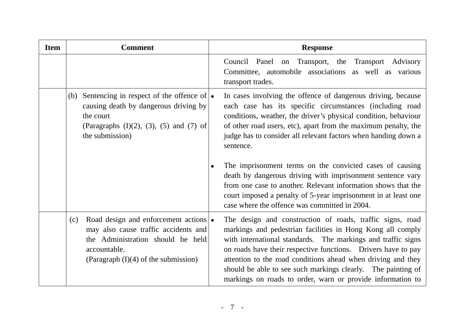| <b>Item</b> | <b>Comment</b>                                                                                                                                                                            | <b>Response</b>                                                                                                                                                                                                                                                                                                                                                                                                                                        |
|-------------|-------------------------------------------------------------------------------------------------------------------------------------------------------------------------------------------|--------------------------------------------------------------------------------------------------------------------------------------------------------------------------------------------------------------------------------------------------------------------------------------------------------------------------------------------------------------------------------------------------------------------------------------------------------|
|             |                                                                                                                                                                                           | Council Panel on Transport, the Transport Advisory<br>Committee, automobile associations<br>as well as various<br>transport trades.                                                                                                                                                                                                                                                                                                                    |
|             | Sentencing in respect of the offence of $\bullet$<br>(b)<br>causing death by dangerous driving by<br>the court<br>(Paragraphs $(I)(2)$ , $(3)$ , $(5)$ and $(7)$ of<br>the submission)    | In cases involving the offence of dangerous driving, because<br>each case has its specific circumstances (including road<br>conditions, weather, the driver's physical condition, behaviour<br>of other road users, etc), apart from the maximum penalty, the<br>judge has to consider all relevant factors when handing down a<br>sentence.                                                                                                           |
|             |                                                                                                                                                                                           | The imprisonment terms on the convicted cases of causing<br>$\bullet$<br>death by dangerous driving with imprisonment sentence vary<br>from one case to another. Relevant information shows that the<br>court imposed a penalty of 5-year imprisonment in at least one<br>case where the offence was committed in 2004.                                                                                                                                |
|             | Road design and enforcement actions $\cdot$<br>(c)<br>may also cause traffic accidents and<br>the Administration should be held<br>accountable.<br>(Paragraph $(I)(4)$ of the submission) | The design and construction of roads, traffic signs, road<br>markings and pedestrian facilities in Hong Kong all comply<br>with international standards. The markings and traffic signs<br>on roads have their respective functions. Drivers have to pay<br>attention to the road conditions ahead when driving and they<br>should be able to see such markings clearly. The painting of<br>markings on roads to order, warn or provide information to |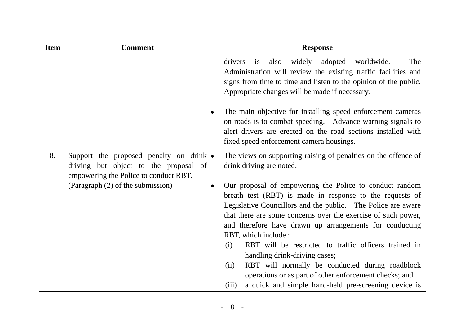| <b>Item</b> | <b>Comment</b>                                                                                                                    |           | <b>Response</b>                                                                                                                                                                                                                                                                                                                                                                                                                                                                                                                                                                                                                |
|-------------|-----------------------------------------------------------------------------------------------------------------------------------|-----------|--------------------------------------------------------------------------------------------------------------------------------------------------------------------------------------------------------------------------------------------------------------------------------------------------------------------------------------------------------------------------------------------------------------------------------------------------------------------------------------------------------------------------------------------------------------------------------------------------------------------------------|
|             |                                                                                                                                   |           | also widely adopted worldwide.<br>The<br>drivers<br>is<br>Administration will review the existing traffic facilities and<br>signs from time to time and listen to the opinion of the public.<br>Appropriate changes will be made if necessary.                                                                                                                                                                                                                                                                                                                                                                                 |
|             |                                                                                                                                   | $\bullet$ | The main objective for installing speed enforcement cameras<br>on roads is to combat speeding. Advance warning signals to<br>alert drivers are erected on the road sections installed with<br>fixed speed enforcement camera housings.                                                                                                                                                                                                                                                                                                                                                                                         |
| 8.          | Support the proposed penalty on drink $\bullet$<br>driving but object to the proposal of<br>empowering the Police to conduct RBT. |           | The views on supporting raising of penalties on the offence of<br>drink driving are noted.                                                                                                                                                                                                                                                                                                                                                                                                                                                                                                                                     |
|             | (Paragraph (2) of the submission)                                                                                                 |           | Our proposal of empowering the Police to conduct random<br>breath test (RBT) is made in response to the requests of<br>Legislative Councillors and the public. The Police are aware<br>that there are some concerns over the exercise of such power,<br>and therefore have drawn up arrangements for conducting<br>RBT, which include :<br>RBT will be restricted to traffic officers trained in<br>(i)<br>handling drink-driving cases;<br>RBT will normally be conducted during roadblock<br>(ii)<br>operations or as part of other enforcement checks; and<br>a quick and simple hand-held pre-screening device is<br>(iii) |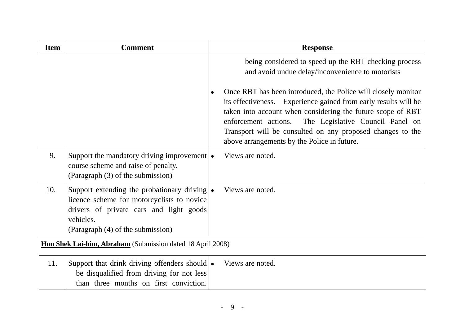| <b>Item</b> | <b>Comment</b>                                                                                                                                                                          | <b>Response</b>                                                                                                                                                                                                                                                                                                                                                          |
|-------------|-----------------------------------------------------------------------------------------------------------------------------------------------------------------------------------------|--------------------------------------------------------------------------------------------------------------------------------------------------------------------------------------------------------------------------------------------------------------------------------------------------------------------------------------------------------------------------|
|             |                                                                                                                                                                                         | being considered to speed up the RBT checking process<br>and avoid undue delay/inconvenience to motorists                                                                                                                                                                                                                                                                |
|             |                                                                                                                                                                                         | Once RBT has been introduced, the Police will closely monitor<br>its effectiveness. Experience gained from early results will be<br>taken into account when considering the future scope of RBT<br>enforcement actions.<br>The Legislative Council Panel on<br>Transport will be consulted on any proposed changes to the<br>above arrangements by the Police in future. |
| 9.          | Support the mandatory driving improvement $\cdot$<br>course scheme and raise of penalty.<br>(Paragraph (3) of the submission)                                                           | Views are noted.                                                                                                                                                                                                                                                                                                                                                         |
| 10.         | Support extending the probationary driving •<br>licence scheme for motorcyclists to novice<br>drivers of private cars and light goods<br>vehicles.<br>(Paragraph (4) of the submission) | Views are noted.                                                                                                                                                                                                                                                                                                                                                         |
|             | Hon Shek Lai-him, Abraham (Submission dated 18 April 2008)                                                                                                                              |                                                                                                                                                                                                                                                                                                                                                                          |
| 11.         | Support that drink driving offenders should $\bullet$<br>be disqualified from driving for not less<br>than three months on first conviction.                                            | Views are noted.                                                                                                                                                                                                                                                                                                                                                         |